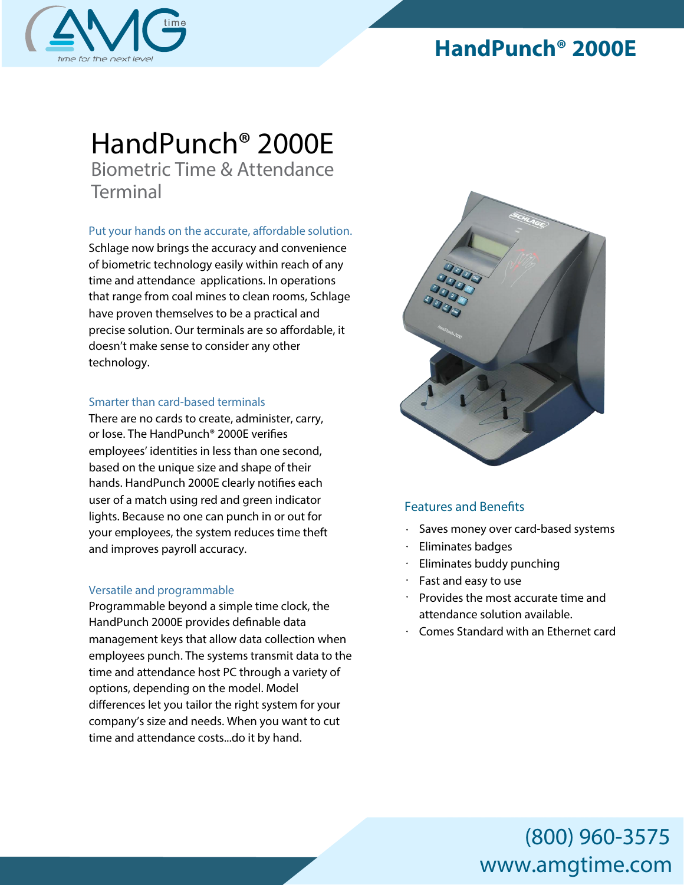

## **HandPunch® 2000E**

# *HandPunch® 2000*E *Biometric Time & Attendance Terminal*

### **Put** your hands on the accurate, affordable solution.

Schlage now brings the accuracy and convenience of biometric technology easily within reach of any time and attendance applications. In operations that range from coal mines to clean rooms, Schlage have proven themselves to be a practical and precise solution. Our terminals are so affordable, it doesn't make sense to consider any other technology.

### *Smarter than card-based terminals*

There are no cards to create, administer, carry, or lose. The HandPunch® 2000E verifies employees' identities in less than one second, based on the unique size and shape of their hands. HandPunch 2000E clearly notifies each user of a match using red and green indicator lights. Because no one can punch in or out for your employees, the system reduces time theft and improves payroll accuracy.

### *Versatile and programmable*

Programmable beyond a simple time clock, the HandPunch 2000E provides definable data management keys that allow data collection when employees punch. The systems transmit data to the time and attendance host PC through a variety of options, depending on the model. Model differences let you tailor the right system for your company's size and needs. When you want to cut time and attendance costs...do it by hand.



### **Features and Benefits**

- Saves money over card-based systems
- Eliminates badges
- Eliminates buddy punching
- Fast and easy to use
- Provides the most accurate time and attendance solution available.
- Comes Standard with an Ethernet card

# (800) 960-3575 www.amgtime.com